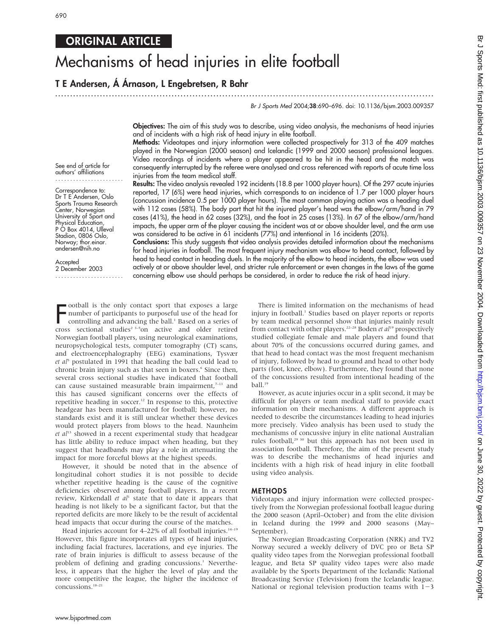# ORIGINAL ARTICLE

# Mechanisms of head injuries in elite football

## T E Andersen, Á Árnason, L Engebretsen, R Bahr

Br J Sports Med 2004;38:690–696. doi: 10.1136/bjsm.2003.009357

Objectives: The aim of this study was to describe, using video analysis, the mechanisms of head injuries and of incidents with a high risk of head injury in elite football.

...............................................................................................................................

Methods: Videotapes and injury information were collected prospectively for 313 of the 409 matches played in the Norwegian (2000 season) and Icelandic (1999 and 2000 season) professional leagues. Video recordings of incidents where a player appeared to be hit in the head and the match was consequently interrupted by the referee were analysed and cross referenced with reports of acute time loss injuries from the team medical staff.

See end of article for authors' affiliations .......................

Correspondence to: Dr T E<sup>'</sup>Andersen, Oslo Sports Trauma Research Center, Norwegian University of Sport and Physical Education, P O Box 4014, Ulleval Stadion, 0806 Oslo, Norway; thor.einar. andersen@nih.no

Accepted

2 December 2003 ....................... Results: The video analysis revealed 192 incidents (18.8 per 1000 player hours). Of the 297 acute injuries reported, 17 (6%) were head injuries, which corresponds to an incidence of 1.7 per 1000 player hours (concussion incidence 0.5 per 1000 player hours). The most common playing action was a heading duel with 112 cases (58%). The body part that hit the injured player's head was the elbow/arm/hand in 79 cases (41%), the head in 62 cases (32%), and the foot in 25 cases (13%). In 67 of the elbow/arm/hand impacts, the upper arm of the player causing the incident was at or above shoulder level, and the arm use was considered to be active in 61 incidents (77%) and intentional in 16 incidents (20%).

Conclusions: This study suggests that video analysis provides detailed information about the mechanisms for head injuries in football. The most frequent injury mechanism was elbow to head contact, followed by head to head contact in heading duels. In the majority of the elbow to head incidents, the elbow was used actively at or above shoulder level, and stricter rule enforcement or even changes in the laws of the game concerning elbow use should perhaps be considered, in order to reduce the risk of head injury.

**FERNAL SET IS CONDOCTED STATES SECTION** STATED TO DURNAL STATES IN CONTROLL STATES OF CONTROLL STATES SECTION 1 STATES SECTION 1 STATES SECTION 1 STATES 3<sup>-3-5</sup>on active and older retired ootball is the only contact sport that exposes a large number of participants to purposeful use of the head for controlling and advancing the ball.<sup>1</sup> Based on a series of Norwegian football players, using neurological examinations, neuropsychological tests, computer tomography (CT) scans, and electroencephalography (EEG) examinations, Tysvær  $et$   $al<sup>5</sup>$  postulated in 1991 that heading the ball could lead to chronic brain injury such as that seen in boxers.<sup>6</sup> Since then, several cross sectional studies have indicated that football can cause sustained measurable brain impairment, $7-11$  and this has caused significant concerns over the effects of repetitive heading in soccer.<sup>12</sup> In response to this, protective headgear has been manufactured for football; however, no standards exist and it is still unclear whether these devices would protect players from blows to the head. Naunheim  $et$   $al<sup>13</sup>$  showed in a recent experimental study that headgear has little ability to reduce impact when heading, but they suggest that headbands may play a role in attenuating the impact for more forceful blows at the highest speeds.

However, it should be noted that in the absence of longitudinal cohort studies it is not possible to decide whether repetitive heading is the cause of the cognitive deficiencies observed among football players. In a recent review, Kirkendall et  $al<sup>1</sup>$  state that to date it appears that heading is not likely to be a significant factor, but that the reported deficits are more likely to be the result of accidental head impacts that occur during the course of the matches.

Head injuries account for  $4-22\%$  of all football injuries.<sup>14-19</sup> However, this figure incorporates all types of head injuries, including facial fractures, lacerations, and eye injuries. The rate of brain injuries is difficult to assess because of the problem of defining and grading concussions.<sup>1</sup> Nevertheless, it appears that the higher the level of play and the more competitive the league, the higher the incidence of concussions.18–21

There is limited information on the mechanisms of head injury in football.<sup>1</sup> Studies based on player reports or reports by team medical personnel show that injuries mainly result from contact with other players.<sup>22-28</sup> Boden et  $al^{19}$  prospectively studied collegiate female and male players and found that about 70% of the concussions occurred during games, and that head to head contact was the most frequent mechanism of injury, followed by head to ground and head to other body parts (foot, knee, elbow). Furthermore, they found that none of the concussions resulted from intentional heading of the ball.<sup>19</sup>

However, as acute injuries occur in a split second, it may be difficult for players or team medical staff to provide exact information on their mechanisms. A different approach is needed to describe the circumstances leading to head injuries more precisely. Video analysis has been used to study the mechanisms of concussive injury in elite national Australian rules football,<sup>29 30</sup> but this approach has not been used in association football. Therefore, the aim of the present study was to describe the mechanisms of head injuries and incidents with a high risk of head injury in elite football using video analysis.

#### METHODS

Videotapes and injury information were collected prospectively from the Norwegian professional football league during the 2000 season (April–October) and from the elite division in Iceland during the 1999 and 2000 seasons (May– September).

The Norwegian Broadcasting Corporation (NRK) and TV2 Norway secured a weekly delivery of DVC pro or Beta SP quality video tapes from the Norwegian professional football league, and Beta SP quality video tapes were also made available by the Sports Department of the Icelandic National Broadcasting Service (Television) from the Icelandic league. National or regional television production teams with  $1-3$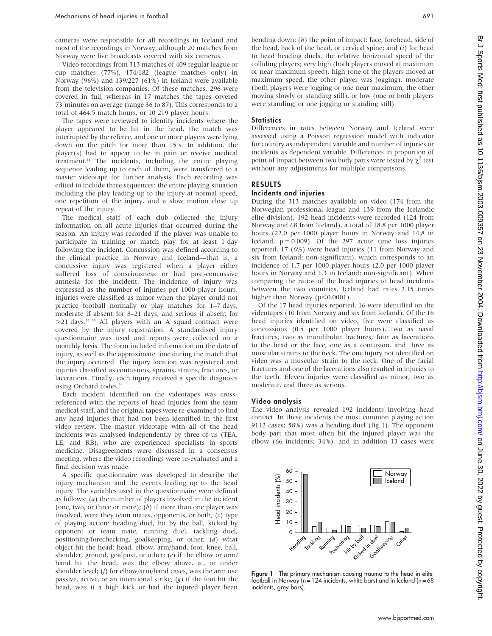cameras were responsible for all recordings in Iceland and most of the recordings in Norway, although 20 matches from Norway were live broadcasts covered with six cameras.

Video recordings from 313 matches of 409 regular league or cup matches (77%), 174/182 (league matches only) in Norway (96%) and 139/227 (61%) in Iceland were available from the television companies. Of these matches, 296 were covered in full, whereas in 17 matches the tapes covered 73 minutes on average (range 36 to 87). This corresponds to a total of 464.5 match hours, or 10 219 player hours.

The tapes were reviewed to identify incidents where the player appeared to be hit in the head, the match was interrupted by the referee, and one or more players were lying down on the pitch for more than 15 s. In addition, the player(s) had to appear to be in pain or receive medical treatment.31 The incidents, including the entire playing sequence leading up to each of them, were transferred to a master videotape for further analysis. Each recording was edited to include three sequences: the entire playing situation including the play leading up to the injury at normal speed, one repetition of the injury, and a slow motion close up repeat of the injury.

The medical staff of each club collected the injury information on all acute injuries that occurred during the season. An injury was recorded if the player was unable to participate in training or match play for at least 1 day following the incident. Concussion was defined according to the clinical practice in Norway and Iceland—that is, a concussive injury was registered when a player either suffered loss of consciousness or had post-concussive amnesia for the incident. The incidence of injury was expressed as the number of injuries per 1000 player hours. Injuries were classified as minor when the player could not practice football normally or play matches for 1–7 days, moderate if absent for 8–21 days, and serious if absent for  $>$ 21 days.<sup>32 33</sup> All players with an A squad contract were covered by the injury registration. A standardised injury questionnaire was used and reports were collected on a monthly basis. The form included information on the date of injury, as well as the approximate time during the match that the injury occurred. The injury location was registered and injuries classified as contusions, sprains, strains, fractures, or lacerations. Finally, each injury received a specific diagnosis using Orchard codes.<sup>34</sup>

Each incident identified on the videotapes was crossreferenced with the reports of head injuries from the team medical staff, and the original tapes were re-examined to find any head injuries that had not been identified in the first video review. The master videotape with all of the head incidents was analysed independently by three of us (TEA, LE, and RB), who are experienced specialists in sports medicine. Disagreements were discussed in a consensus meeting, where the video recordings were re-evaluated and a final decision was made.

A specific questionnaire was developed to describe the injury mechanism and the events leading up to the head injury. The variables used in the questionnaire were defined as follows:  $(a)$  the number of players involved in the incident (one, two, or three or more);  $(b)$  if more than one player was involved, were they team mates, opponents, or both;  $(c)$  type of playing action: heading duel, hit by the ball, kicked by opponent or team mate, running duel, tackling duel, positioning/forechecking, goalkeeping, or other; (d) what object hit the head: head, elbow, arm/hand, foot, knee, ball, shoulder, ground, goalpost, or other; (e) if the elbow or arm/ hand hit the head, was the elbow above, at, or under shoulder level; (f) for elbow/arm/hand cases, was the arm use passive, active, or an intentional strike;  $(g)$  if the foot hit the head, was it a high kick or had the injured player been bending down; (h) the point of impact: face, forehead, side of the head, back of the head, or cervical spine; and  $(i)$  for head to head heading duels, the relative horizontal speed of the colliding players; very high (both players moved at maximum or near maximum speed), high (one of the players moved at maximum speed, the other player was jogging), moderate (both players were jogging or one near maximum, the other moving slowly or standing still), or low (one or both players were standing, or one jogging or standing still).

#### **Statistics**

Differences in rates between Norway and Iceland were assessed using a Poisson regression model with indicator for country as independent variable and number of injuries or incidents as dependent variable. Differences in proportion of point of impact between two body parts were tested by  $\chi^2$  test without any adjustments for multiple comparisons.

#### RESULTS

#### Incidents and injuries

During the 313 matches available on video (174 from the Norwegian professional league and 139 from the Icelandic elite division), 192 head incidents were recorded (124 from Norway and 68 from Iceland), a total of 18.8 per 1000 player hours (22.0 per 1000 player hours in Norway and 14.8 in Iceland,  $p = 0.009$ ). Of the 297 acute time loss injuries reported, 17 (6%) were head injuries (11 from Norway and six from Iceland; non-significant), which corresponds to an incidence of 1.7 per 1000 player hours (2.0 per 1000 player hours in Norway and 1.3 in Iceland; non-significant). When comparing the ratios of the head injuries to head incidents between the two countries, Iceland had rates 2.15 times higher than Norway ( $p<0.0001$ ).

Of the 17 head injuries reported, 16 were identified on the videotapes (10 from Norway and six from Iceland). Of the 16 head injuries identified on video, five were classified as concussions (0.5 per 1000 player hours), two as nasal fractures, two as mandibular fractures, four as lacerations to the head or the face, one as a contusion, and three as muscular strains to the neck. The one injury not identified on video was a muscular strain to the neck. One of the facial fractures and one of the lacerations also resulted in injuries to the teeth. Eleven injuries were classified as minor, two as moderate, and three as serious.

#### Video analysis

The video analysis revealed 192 incidents involving head contact. In these incidents the most common playing action 9112 cases; 58%) was a heading duel (fig 1). The opponent body part that most often hit the injured player was the elbow (66 incidents; 34%), and in addition 13 cases were



Figure 1 The primary mechanism causing trauma to the head in elite football in Norway ( $n = 124$  incidents, white bars) and in Iceland ( $n = 68$ incidents, grey bars).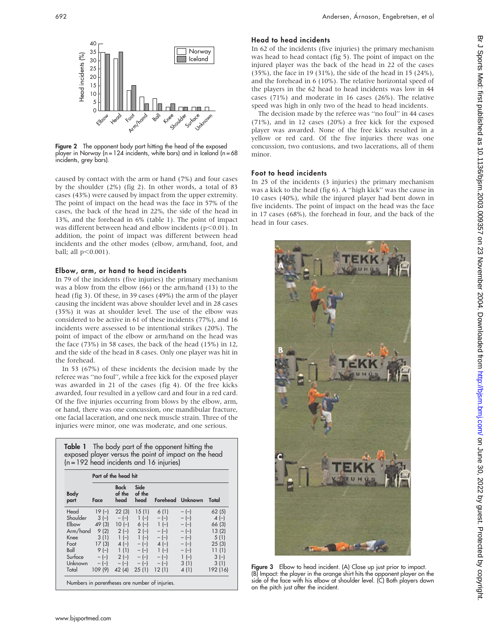

Figure 2 The opponent body part hitting the head of the exposed player in Norway (n = 124 incidents, white bars) and in Iceland (n = 68 incidents, grey bars).

caused by contact with the arm or hand (7%) and four cases by the shoulder (2%) (fig 2). In other words, a total of 83 cases (43%) were caused by impact from the upper extremity. The point of impact on the head was the face in 57% of the cases, the back of the head in 22%, the side of the head in 13%, and the forehead in 6% (table 1). The point of impact was different between head and elbow incidents ( $p$ <0.01). In addition, the point of impact was different between head incidents and the other modes (elbow, arm/hand, foot, and ball; all  $p<0.001$ ).

#### Elbow, arm, or hand to head incidents

In 79 of the incidents (five injuries) the primary mechanism was a blow from the elbow (66) or the arm/hand (13) to the head (fig 3). Of these, in 39 cases (49%) the arm of the player causing the incident was above shoulder level and in 28 cases (35%) it was at shoulder level. The use of the elbow was considered to be active in 61 of these incidents (77%), and 16 incidents were assessed to be intentional strikes (20%). The point of impact of the elbow or arm/hand on the head was the face (73%) in 58 cases, the back of the head (15%) in 12, and the side of the head in 8 cases. Only one player was hit in the forehead.

In 53 (67%) of these incidents the decision made by the referee was ''no foul'', while a free kick for the exposed player was awarded in 21 of the cases (fig 4). Of the free kicks awarded, four resulted in a yellow card and four in a red card. Of the five injuries occurring from blows by the elbow, arm, or hand, there was one concussion, one mandibular fracture, one facial laceration, and one neck muscle strain. Three of the injuries were minor, one was moderate, and one serious.

| <b>Table 1</b> The body part of the opponent hitting the<br>exposed player versus the point of impact on the head<br>$(n = 192$ head incidents and 16 injuries) |                                                                                              |                                                                           |                                                                                                                  |                                                                                     |                                                                                              |                                                                                            |
|-----------------------------------------------------------------------------------------------------------------------------------------------------------------|----------------------------------------------------------------------------------------------|---------------------------------------------------------------------------|------------------------------------------------------------------------------------------------------------------|-------------------------------------------------------------------------------------|----------------------------------------------------------------------------------------------|--------------------------------------------------------------------------------------------|
| Part of the head hit                                                                                                                                            |                                                                                              |                                                                           |                                                                                                                  |                                                                                     |                                                                                              |                                                                                            |
| Body<br>part                                                                                                                                                    | Face                                                                                         | <b>Back</b><br>of the<br>head                                             | Side<br>of the<br>head                                                                                           |                                                                                     | Forehead Unknown                                                                             | Total                                                                                      |
| Head<br>Shoulder<br>Elbow<br>Arm/hand<br>Knee<br>Foot<br>Ball<br>Surface<br>Unknown<br>Total                                                                    | $19(-)$<br>$3(-)$<br>49 (3)<br>9(2)<br>3(1)<br>17(3)<br>$9(-)$<br>$-(-)$<br>$-(-)$<br>109(9) | 22(3)<br>$-(-)$<br>$2(-)$<br>$1(-)$<br>$4(-)$<br>1(1)<br>$-(-)$<br>42 (4) | 15(1)<br>$1(-)$<br>$10(-) 6(-)$<br>$2(-)$<br>$1(-)$<br>$-(-)$<br>$-(-)$<br>$2(-) - (-) - (-)$<br>$-(-)$<br>25(1) | 6(1)<br>$-(-)$<br>$1(-)$<br>$-(-)$<br>$-(-)$<br>$4(-)$<br>$1(-)$<br>$-(-)$<br>12(1) | $-(-)$<br>$-(-)$<br>$-(-)$<br>$-(-)$<br>$-(-)$<br>$-(-)$<br>$-(-)$<br>$1(-)$<br>3(1)<br>4(1) | 62(5)<br>$4(-)$<br>66 (3)<br>13(2)<br>5(1)<br>25(3)<br>11(1)<br>$3(-)$<br>3(1)<br>192 (16) |

#### Head to head incidents

In 62 of the incidents (five injuries) the primary mechanism was head to head contact (fig 5). The point of impact on the injured player was the back of the head in 22 of the cases (35%), the face in 19 (31%), the side of the head in 15 (24%), and the forehead in 6 (10%). The relative horizontal speed of the players in the 62 head to head incidents was low in 44 cases (71%) and moderate in 16 cases (26%). The relative speed was high in only two of the head to head incidents.

The decision made by the referee was ''no foul'' in 44 cases (71%), and in 12 cases (20%) a free kick for the exposed player was awarded. None of the free kicks resulted in a yellow or red card. Of the five injuries there was one concussion, two contusions, and two lacerations, all of them minor.

#### Foot to head incidents

In 25 of the incidents (3 injuries) the primary mechanism was a kick to the head (fig 6). A ''high kick'' was the cause in 10 cases (40%), while the injured player had bent down in five incidents. The point of impact on the head was the face in 17 cases (68%), the forehead in four, and the back of the head in four cases.



Figure 3 Elbow to head incident. (A) Close up just prior to impact. (B) Impact: the player in the orange shirt hits the opponent player on the side of the face with his elbow at shoulder level. (C) Both players down on the pitch just after the incident.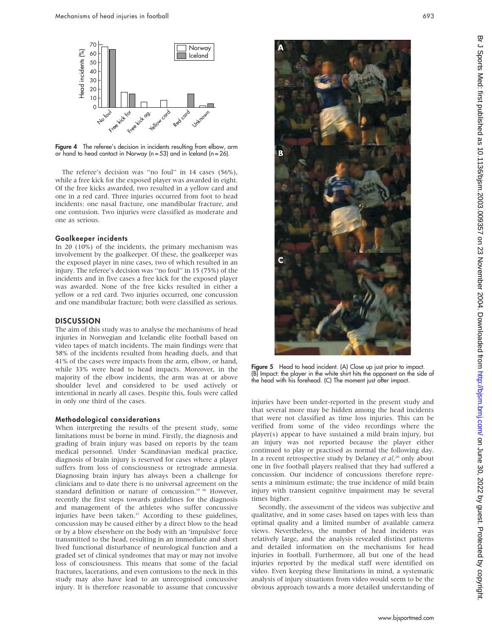

Figure 4 The referee's decision in incidents resulting from elbow, arm or hand to head contact in Norway ( $n = 53$ ) and in Iceland ( $n = 26$ ).

The referee's decision was ''no foul'' in 14 cases (56%), while a free kick for the exposed player was awarded in eight. Of the free kicks awarded, two resulted in a yellow card and one in a red card. Three injuries occurred from foot to head incidents: one nasal fracture, one mandibular fracture, and one contusion. Two injuries were classified as moderate and one as serious.

#### Goalkeeper incidents

In 20 (10%) of the incidents, the primary mechanism was involvement by the goalkeeper. Of these, the goalkeeper was the exposed player in nine cases, two of which resulted in an injury. The referee's decision was ''no foul'' in 15 (75%) of the incidents and in five cases a free kick for the exposed player was awarded. None of the free kicks resulted in either a yellow or a red card. Two injuries occurred, one concussion and one mandibular fracture; both were classified as serious.

#### DISCUSSION

The aim of this study was to analyse the mechanisms of head injuries in Norwegian and Icelandic elite football based on video tapes of match incidents. The main findings were that 58% of the incidents resulted from heading duels, and that 41% of the cases were impacts from the arm, elbow, or hand, while 33% were head to head impacts. Moreover, in the majority of the elbow incidents, the arm was at or above shoulder level and considered to be used actively or intentional in nearly all cases. Despite this, fouls were called in only one third of the cases.

#### Methodological considerations

When interpreting the results of the present study, some limitations must be borne in mind. Firstly, the diagnosis and grading of brain injury was based on reports by the team medical personnel. Under Scandinavian medical practice, diagnosis of brain injury is reserved for cases where a player suffers from loss of consciousness or retrograde amnesia. Diagnosing brain injury has always been a challenge for clinicians and to date there is no universal agreement on the standard definition or nature of concussion.<sup>35 36</sup> However, recently the first steps towards guidelines for the diagnosis and management of the athletes who suffer concussive injuries have been taken.<sup>37</sup> According to these guidelines, concussion may be caused either by a direct blow to the head or by a blow elsewhere on the body with an 'impulsive' force transmitted to the head, resulting in an immediate and short lived functional disturbance of neurological function and a graded set of clinical syndromes that may or may not involve loss of consciousness. This means that some of the facial fractures, lacerations, and even contusions to the neck in this study may also have lead to an unrecognised concussive injury. It is therefore reasonable to assume that concussive



Figure 5 Head to head incident. (A) Close up just prior to impact. (B) Impact: the player in the white shirt hits the opponent on the side of the head with his forehead. (C) The moment just after impact.

injuries have been under-reported in the present study and that several more may be hidden among the head incidents that were not classified as time loss injuries. This can be verified from some of the video recordings where the player(s) appear to have sustained a mild brain injury, but an injury was not reported because the player either continued to play or practised as normal the following day. In a recent retrospective study by Delaney et al,<sup>20</sup> only about one in five football players realised that they had suffered a concussion. Our incidence of concussions therefore represents a minimum estimate; the true incidence of mild brain injury with transient cognitive impairment may be several times higher.

Secondly, the assessment of the videos was subjective and qualitative, and in some cases based on tapes with less than optimal quality and a limited number of available camera views. Nevertheless, the number of head incidents was relatively large, and the analysis revealed distinct patterns and detailed information on the mechanisms for head injuries in football. Furthermore, all but one of the head injuries reported by the medical staff were identified on video. Even keeping these limitations in mind, a systematic analysis of injury situations from video would seem to be the obvious approach towards a more detailed understanding of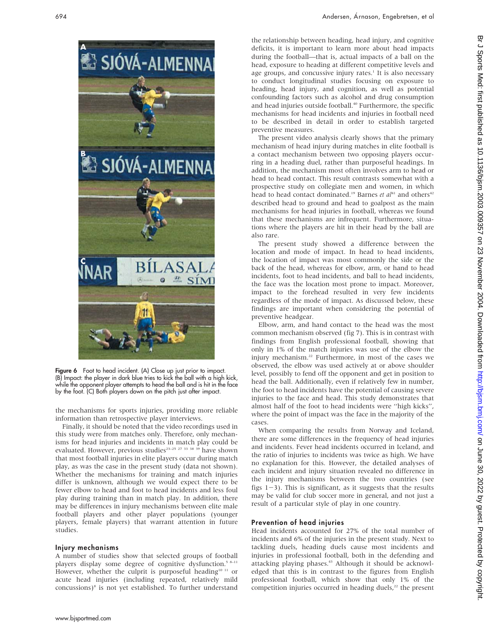

Figure 6 Foot to head incident. (A) Close up just prior to impact. (B) Impact: the player in dark blue tries to kick the ball with a high kick, while the opponent player attempts to head the ball and is hit in the face by the foot. (C) Both players down on the pitch just after impact.

the mechanisms for sports injuries, providing more reliable information than retrospective player interviews.

Finally, it should be noted that the video recordings used in this study were from matches only. Therefore, only mechanisms for head injuries and incidents in match play could be evaluated. However, previous studies<sup>23-25</sup> <sup>27</sup> <sup>33</sup> <sup>39</sup> have shown that most football injuries in elite players occur during match play, as was the case in the present study (data not shown). Whether the mechanisms for training and match injuries differ is unknown, although we would expect there to be fewer elbow to head and foot to head incidents and less foul play during training than in match play. In addition, there may be differences in injury mechanisms between elite male football players and other player populations (younger players, female players) that warrant attention in future studies.

#### Injury mechanisms

A number of studies show that selected groups of football players display some degree of cognitive dysfunction.<sup>5 8–11</sup> However, whether the culprit is purposeful heading<sup>10 11</sup> or acute head injuries (including repeated, relatively mild concussions)<sup>8</sup> is not yet established. To further understand

the relationship between heading, head injury, and cognitive deficits, it is important to learn more about head impacts during the football—that is, actual impacts of a ball on the head, exposure to heading at different competitive levels and age groups, and concussive injury rates.<sup>1</sup> It is also necessary to conduct longitudinal studies focusing on exposure to heading, head injury, and cognition, as well as potential confounding factors such as alcohol and drug consumption and head injuries outside football.<sup>40</sup> Furthermore, the specific mechanisms for head incidents and injuries in football need to be described in detail in order to establish targeted preventive measures.

The present video analysis clearly shows that the primary mechanism of head injury during matches in elite football is a contact mechanism between two opposing players occurring in a heading duel, rather than purposeful headings. In addition, the mechanism most often involves arm to head or head to head contact. This result contrasts somewhat with a prospective study on collegiate men and women, in which head to head contact dominated.<sup>19</sup> Barnes et al<sup>41</sup> and others<sup>42</sup> described head to ground and head to goalpost as the main mechanisms for head injuries in football, whereas we found that these mechanisms are infrequent. Furthermore, situations where the players are hit in their head by the ball are also rare.

The present study showed a difference between the location and mode of impact. In head to head incidents, the location of impact was most commonly the side or the back of the head, whereas for elbow, arm, or hand to head incidents, foot to head incidents, and ball to head incidents, the face was the location most prone to impact. Moreover, impact to the forehead resulted in very few incidents regardless of the mode of impact. As discussed below, these findings are important when considering the potential of preventive headgear.

Elbow, arm, and hand contact to the head was the most common mechanism observed (fig 7). This is in contrast with findings from English professional football, showing that only in 1% of the match injuries was use of the elbow the injury mechanism.22 Furthermore, in most of the cases we observed, the elbow was used actively at or above shoulder level, possibly to fend off the opponent and get in position to head the ball. Additionally, even if relatively few in number, the foot to head incidents have the potential of causing severe injuries to the face and head. This study demonstrates that almost half of the foot to head incidents were ''high kicks'', where the point of impact was the face in the majority of the cases.

When comparing the results from Norway and Iceland, there are some differences in the frequency of head injuries and incidents. Fever head incidents occurred in Iceland, and the ratio of injuries to incidents was twice as high. We have no explanation for this. However, the detailed analyses of each incident and injury situation revealed no difference in the injury mechanisms between the two countries (see figs  $1-3$ ). This is significant, as it suggests that the results may be valid for club soccer more in general, and not just a result of a particular style of play in one country.

#### Prevention of head injuries

Head incidents accounted for 27% of the total number of incidents and 6% of the injuries in the present study. Next to tackling duels, heading duels cause most incidents and injuries in professional football, both in the defending and attacking playing phases.<sup>43</sup> Although it should be acknowledged that this is in contrast to the figures from English professional football, which show that only 1% of the competition injuries occurred in heading duels,<sup>22</sup> the present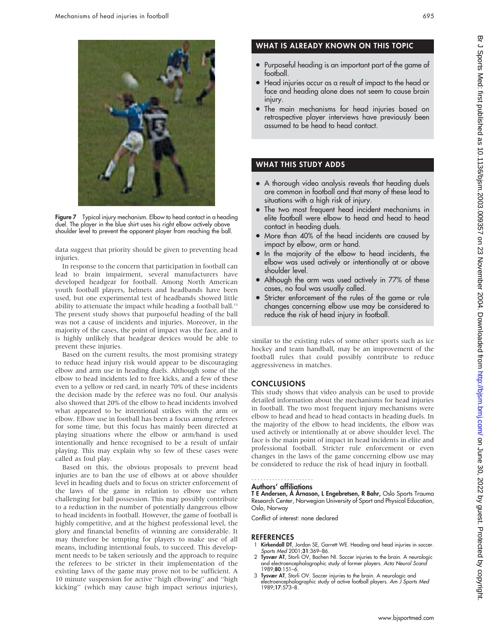

Figure 7 Typical injury mechanism. Elbow to head contact in a heading duel. The player in the blue shirt uses his right elbow actively above shoulder level to prevent the opponent player from reaching the ball.

data suggest that priority should be given to preventing head injuries.

In response to the concern that participation in football can lead to brain impairment, several manufacturers have developed headgear for football. Among North American youth football players, helmets and headbands have been used, but one experimental test of headbands showed little ability to attenuate the impact while heading a football ball.<sup>13</sup> The present study shows that purposeful heading of the ball was not a cause of incidents and injuries. Moreover, in the majority of the cases, the point of impact was the face, and it is highly unlikely that headgear devices would be able to prevent these injuries.

Based on the current results, the most promising strategy to reduce head injury risk would appear to be discouraging elbow and arm use in heading duels. Although some of the elbow to head incidents led to free kicks, and a few of these even to a yellow or red card, in nearly 70% of these incidents the decision made by the referee was no foul. Our analysis also showed that 20% of the elbow to head incidents involved what appeared to be intentional strikes with the arm or elbow. Elbow use in football has been a focus among referees for some time, but this focus has mainly been directed at playing situations where the elbow or arm/hand is used intentionally and hence recognised to be a result of unfair playing. This may explain why so few of these cases were called as foul play.

Based on this, the obvious proposals to prevent head injuries are to ban the use of elbows at or above shoulder level in heading duels and to focus on stricter enforcement of the laws of the game in relation to elbow use when challenging for ball possession. This may possibly contribute to a reduction in the number of potentially dangerous elbow to head incidents in football. However, the game of football is highly competitive, and at the highest professional level, the glory and financial benefits of winning are considerable. It may therefore be tempting for players to make use of all means, including intentional fouls, to succeed. This development needs to be taken seriously and the approach to require the referees to be stricter in their implementation of the existing laws of the game may prove not to be sufficient. A 10 minute suspension for active ''high elbowing'' and ''high kicking'' (which may cause high impact serious injuries),

### WHAT IS ALREADY KNOWN ON THIS TOPIC

- Purposeful heading is an important part of the game of football.
- Head injuries occur as a result of impact to the head or face and heading alone does not seem to cause brain injury.
- The main mechanisms for head injuries based on retrospective player interviews have previously been assumed to be head to head contact.

### WHAT THIS STUDY ADDS

- A thorough video analysis reveals that heading duels are common in football and that many of these lead to situations with a high risk of injury.
- The two most frequent head incident mechanisms in elite football were elbow to head and head to head contact in heading duels.
- More than 40% of the head incidents are caused by impact by elbow, arm or hand.
- In the majority of the elbow to head incidents, the elbow was used actively or intentionally at or above shoulder level.
- Although the arm was used actively in 77% of these cases, no foul was usually called.
- Stricter enforcement of the rules of the game or rule changes concerning elbow use may be considered to reduce the risk of head injury in football.

similar to the existing rules of some other sports such as ice hockey and team handball, may be an improvement of the football rules that could possibly contribute to reduce aggressiveness in matches.

#### CONCLUSIONS

This study shows that video analysis can be used to provide detailed information about the mechanisms for head injuries in football. The two most frequent injury mechanisms were elbow to head and head to head contacts in heading duels. In the majority of the elbow to head incidents, the elbow was used actively or intentionally at or above shoulder level. The face is the main point of impact in head incidents in elite and professional football. Stricter rule enforcement or even changes in the laws of the game concerning elbow use may be considered to reduce the risk of head injury in football.

#### Authors' affiliations .....................

T E Andersen, Á Árnason, L Engebretsen, R Bahr, Oslo Sports Trauma Research Center, Norwegian University of Sport and Physical Education, Oslo, Norway

Conflict of interest: none declared

#### REFERENCES

- 1 Kirkendall DT, Jordan SE, Garrett WE. Heading and head injuries in soccer. Sports Med 2001;31:369-86.
- 2 Tysvær AT, Storli OV, Bachen NI. Soccer injuries to the brain. A neurologic and electroencephalographic study of former players. Acta Neurol Scand 1989;80:151–6.
- 3 Tysvær AT, Storli OV. Soccer injuries to the brain. A neurologic and electroencephalographic study of active football players. Am J Sports Med 1989;17:573–8.